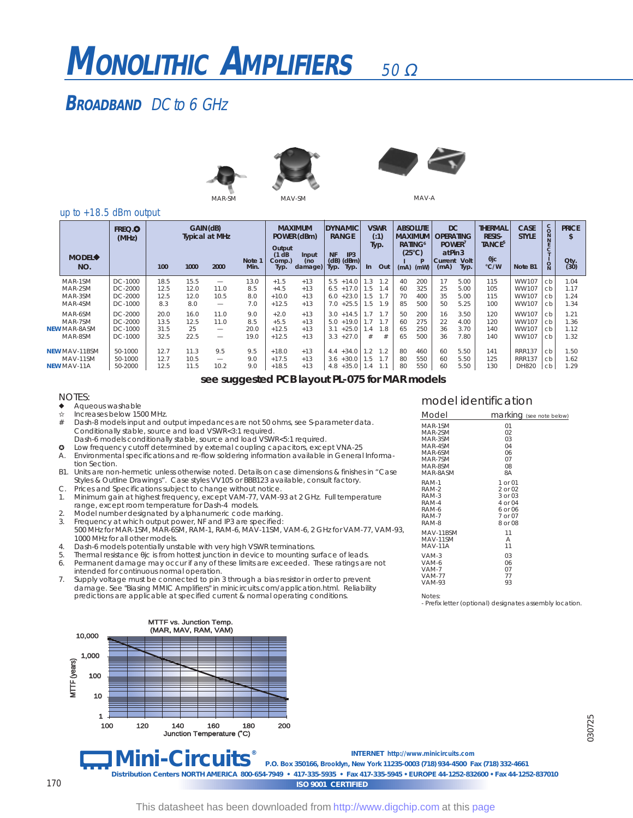## 50 Ω **MONOLITHIC AMPLIFIERS**

# **BROADBAND** DC to 6 GHz





MAV-A

#### up to +18.5 dBm output

| <b>MODEL</b><br>NO.                                    | FREQ. <sup>O</sup><br>(MHz)              | 100                          | GAIN (dB)<br>1000           | <b>Typical at MHz</b><br>2000                 | Note 1<br>Min.             | Output<br>$(1$ dB<br>Comp.)<br>Typ.    | <b>MAXIMUM</b><br>POWER (dBm)<br>Input<br>(no<br>damage) | <b>NF</b><br>Typ.        | <b>DYNAMIC</b><br><b>RANGE</b><br>IP3<br>$(dB)$ $(dBm)$<br>Typ. | -In                      | <b>VSWR</b><br>(.1)<br>Typ.<br>Out | <b>ABSOLUTE</b><br><b>MAXIMUM</b><br>RATING <sup>6</sup><br>$(25^{\circ}C)$<br>(mA) | (mW)                     | <b>DC</b><br><b>OPERATING</b><br>POWER <sup>1</sup><br>at Pin 3<br>Current<br>(mA) | Volt<br>Typ.                 | <b>THERMAL</b><br><b>RESIS-</b><br>TANCE <sup>5</sup><br>$\theta$ jc<br>°C/W | <b>CASE</b><br><b>STYLE</b><br>Note B1  | $\rm ^c_{\rm O}$<br>N<br>$\circ$ | <b>PRICE</b><br>Oty.<br>(30) |
|--------------------------------------------------------|------------------------------------------|------------------------------|-----------------------------|-----------------------------------------------|----------------------------|----------------------------------------|----------------------------------------------------------|--------------------------|-----------------------------------------------------------------|--------------------------|------------------------------------|-------------------------------------------------------------------------------------|--------------------------|------------------------------------------------------------------------------------|------------------------------|------------------------------------------------------------------------------|-----------------------------------------|----------------------------------|------------------------------|
| MAR-1SM<br>MAR-2SM<br>MAR-3SM<br>MAR-4SM               | DC-1000<br>DC-2000<br>DC-2000<br>DC-1000 | 18.5<br>12.5<br>12.5<br>8.3  | 15.5<br>12.0<br>12.0<br>8.0 | -<br>11.0<br>10.5<br>$\overline{\phantom{0}}$ | 13.0<br>8.5<br>8.0<br>7.0  | $+1.5$<br>$+4.5$<br>$+10.0$<br>$+12.5$ | $+13$<br>$+13$<br>$+13$<br>$+13$                         | 5.5<br>6.5<br>6.0<br>7.0 | $+14.0$<br>$+17.0$<br>$+23.0$<br>$+25.5$                        | 1.3<br>1.5<br>1.5<br>1.5 | 1.2<br>l. 4<br>1.9                 | 40<br>60<br>70<br>85                                                                | 200<br>325<br>400<br>500 | 17<br>25<br>35<br>50                                                               | 5.00<br>5.00<br>5.00<br>5.25 | 115<br>105<br>115<br>100                                                     | WW107<br>WW107<br>WW107<br>WW107        | cb<br>cb<br>cb<br>cb             | 1.04<br>1.17<br>1.24<br>1.34 |
| MAR-6SM<br>MAR-7SM<br><b>NEW MAR-8ASM</b><br>MAR-8SM   | DC-2000<br>DC-2000<br>DC-1000<br>DC-1000 | 20.0<br>13.5<br>31.5<br>32.5 | 16.0<br>12.5<br>25<br>22.5  | 11.0<br>11.0<br>-                             | 9.0<br>8.5<br>20.0<br>19.0 | $+2.0$<br>$+5.5$<br>$+12.5$<br>$+12.5$ | $+13$<br>$+13$<br>$+13$<br>$+13$                         | 3.0<br>5.0<br>3.1<br>3.3 | $+14.5$<br>$+19.0$<br>$+25.0$<br>$+27.0$                        | 1.4                      | 1.7<br>1.8                         | 50<br>60<br>65<br>65                                                                | 200<br>275<br>250<br>500 | 16<br>22<br>36<br>36                                                               | 3.50<br>4.00<br>3.70<br>7.80 | 120<br>120<br>140<br>140                                                     | WW107<br>WW107<br>WW107<br>WW107        | ch<br>cb<br>cb<br>cb             | 1.21<br>1.36<br>1.12<br>1.32 |
| <b>NEW MAV-11BSM</b><br>MAV-11SM<br><b>NEW MAV-11A</b> | 50-1000<br>50-1000<br>50-2000            | 12.7<br>12.7<br>12.5         | 11.3<br>10.5<br>11.5        | 9.5<br>10.2                                   | 9.5<br>9.0<br>9.0          | $+18.0$<br>$+17.5$<br>$+18.5$          | $+13$<br>$+13$<br>$+13$                                  | 4.4<br>3.6<br>4.8        | $+34.0$<br>$+30.0$<br>$+35.0$                                   | .5<br>1.4                | 1.2                                | 80<br>80<br>80                                                                      | 460<br>550<br>550        | 60<br>60<br>60                                                                     | 5.50<br>5.50<br>5.50         | 141<br>125<br>130                                                            | <b>RRR137</b><br><b>RRR137</b><br>DH820 | cb<br>cb<br>cb                   | 1.50<br>1.62<br>1.29         |

*see suggested PCB layout PL-075 for MAR models*

#### NOTES:

- $\triangleq$  Aqueous washable Increases below 1500 MHz.
- Dash-8 models input and output impedances are not 50 ohms, see S-parameter data. Conditionally stable, source and load VSWR<3:1 required.
- Dash-6 models conditionally stable, source and load VSWR<5:1 required.
- **Q** Low frequency cutoff determined by external coupling capacitors, except VNA-25 A. Environmental specifications and re-flow soldering information available in General Information Section.
- B1. Units are non-hermetic unless otherwise noted. Details on case dimensions & finishes in "Case Styles & Outline Drawings". Case styles VV105 or BBB123 available, consult factory.
- C. Prices and Specifications subject to change without notice. 1. Minimum gain at highest frequency, except VAM-77, VAM-93 at 2 GHz. Full temperature range, except room temperature for Dash-4 models.
- 2. Model number designated by alphanumeric code marking.
- Frequency at which output power, NF and IP3 are specified:
- 500 MHz for MAR-1SM, MAR-6SM, RAM-1, RAM-6, MAV-11SM, VAM-6, 2 GHz for VAM-77, VAM-93, 1000 MHz for all other models.
- 4. Dash-6 models potentially unstable with very high VSWR terminations.
- 5. Thermal resistance θjc is from hottest junction in device to mounting surface of leads.
- 6. Permanent damage may occur if any of these limits are exceeded. These ratings are not intended for continuous normal operation.
- 7. Supply voltage must be connected to pin 3 through a bias resistor in order to prevent damage. See "Biasing MMIC Amplifiers" in minicircuits.com/application.html. Reliability predictions are applicable at specified current & normal operating conditions.



## model identification

| Model         | marking (see note below) |
|---------------|--------------------------|
| MAR-1SM       | 01                       |
| MAR-2SM       | 02                       |
| MAR-3SM       | 03                       |
| MAR-4SM       | 04                       |
| MAR-6SM       | 06                       |
| MAR-7SM       | 07                       |
| MAR-8SM       | 08                       |
| MAR-8ASM      | 8A                       |
| RAM-1         | 1 or 01                  |
| RAM-2         | 2 or 02                  |
| RAM-3         | $3$ or 0.3               |
| RAM-4         | 4 or 04                  |
| RAM-6         | 6 or 06                  |
| RAM-7         | 7 or 07                  |
| RAM-8         | 8 or 08                  |
| MAV-11BSM     | 11                       |
| MAV-11SM      | А                        |
| MAV-11A       | 11                       |
| VAM-3         | 03                       |
| VAM-6         | 06                       |
| VAM-7         | 07                       |
| <b>VAM-77</b> | 77                       |
| <b>VAM-93</b> | 93                       |

Notes: - Prefix letter (optional) designates assembly location.

030725

*ISO 9001 CERTIFIED*

*INTERNET* **http://www.minicircuits.com**